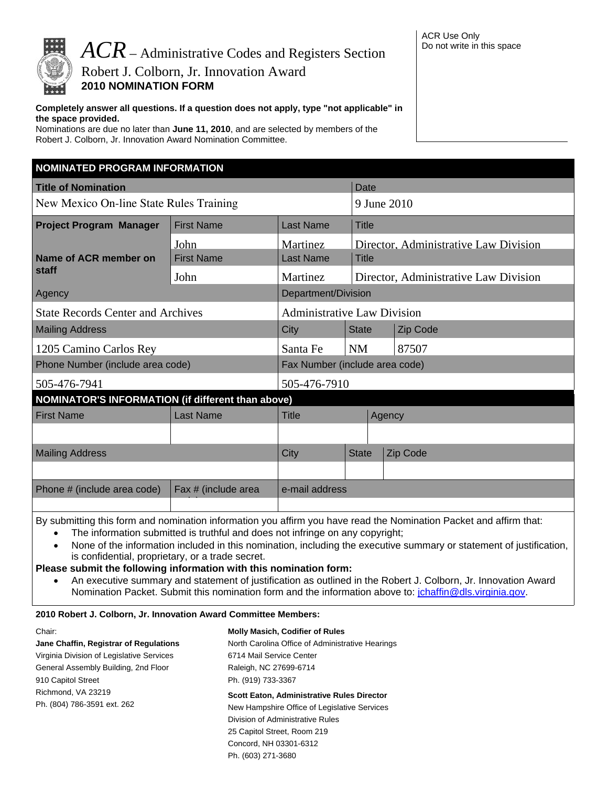

## *ACR* – Administrative Codes and Registers Section Robert J. Colborn, Jr. Innovation Award

#### **Completely answer all questions. If a question does not apply, type "not applicable" in the space provided.**

Nominations are due no later than **June 11, 2010**, and are selected by members of the Robert J. Colborn, Jr. Innovation Award Nomination Committee.

**2010 NOMINATION FORM** 

| NOMINATED PROGRAM INFORMATION                     |                     |                                    |              |                                       |  |  |
|---------------------------------------------------|---------------------|------------------------------------|--------------|---------------------------------------|--|--|
| <b>Title of Nomination</b>                        |                     |                                    | <b>Date</b>  |                                       |  |  |
| New Mexico On-line State Rules Training           |                     |                                    | 9 June 2010  |                                       |  |  |
| <b>Project Program Manager</b>                    | <b>First Name</b>   | Last Name                          | <b>Title</b> |                                       |  |  |
|                                                   | John                | Martinez                           |              | Director. Administrative Law Division |  |  |
| Name of ACR member on<br>staff                    | <b>First Name</b>   | <b>Last Name</b>                   | <b>Title</b> |                                       |  |  |
|                                                   | John                | Martinez                           |              | Director, Administrative Law Division |  |  |
| Agency                                            |                     | Department/Division                |              |                                       |  |  |
| <b>State Records Center and Archives</b>          |                     | <b>Administrative Law Division</b> |              |                                       |  |  |
| <b>Mailing Address</b>                            |                     | City                               | <b>State</b> | Zip Code                              |  |  |
| 1205 Camino Carlos Rey                            |                     | Santa Fe                           | <b>NM</b>    | 87507                                 |  |  |
| Phone Number (include area code)                  |                     | Fax Number (include area code)     |              |                                       |  |  |
| 505-476-7941                                      |                     | 505-476-7910                       |              |                                       |  |  |
| NOMINATOR'S INFORMATION (if different than above) |                     |                                    |              |                                       |  |  |
| <b>First Name</b>                                 | <b>Last Name</b>    | Title                              |              | Agency                                |  |  |
|                                                   |                     |                                    |              |                                       |  |  |
| <b>Mailing Address</b>                            |                     | City                               | <b>State</b> | Zip Code                              |  |  |
|                                                   |                     |                                    |              |                                       |  |  |
| Phone # (include area code)                       | Fax # (include area | e-mail address                     |              |                                       |  |  |
|                                                   |                     |                                    |              |                                       |  |  |

By submitting this form and nomination information you affirm you have read the Nomination Packet and affirm that:

• The information submitted is truthful and does not infringe on any copyright;

• None of the information included in this nomination, including the executive summary or statement of justification, is confidential, proprietary, or a trade secret.

#### **Please submit the following information with this nomination form:**

• An executive summary and statement of justification as outlined in the Robert J. Colborn, Jr. Innovation Award Nomination Packet. Submit this nomination form and the information above to: jchaffin@dls.virginia.gov.

#### **2010 Robert J. Colborn, Jr. Innovation Award Committee Members:**

| Chair:                                    | <b>Molly Masich, Codifier of Rules</b>            |  |  |  |
|-------------------------------------------|---------------------------------------------------|--|--|--|
| Jane Chaffin, Registrar of Regulations    | North Carolina Office of Administrative Hearings  |  |  |  |
| Virginia Division of Legislative Services | 6714 Mail Service Center                          |  |  |  |
| General Assembly Building, 2nd Floor      | Raleigh, NC 27699-6714                            |  |  |  |
| 910 Capitol Street                        | Ph. (919) 733-3367                                |  |  |  |
| Richmond, VA 23219                        | <b>Scott Eaton, Administrative Rules Director</b> |  |  |  |
| Ph. (804) 786-3591 ext. 262               | New Hampshire Office of Legislative Services      |  |  |  |
|                                           | Division of Administrative Rules                  |  |  |  |
|                                           | 25 Capitol Street, Room 219                       |  |  |  |

Concord, NH 03301-6312

Ph. (603) 271-3680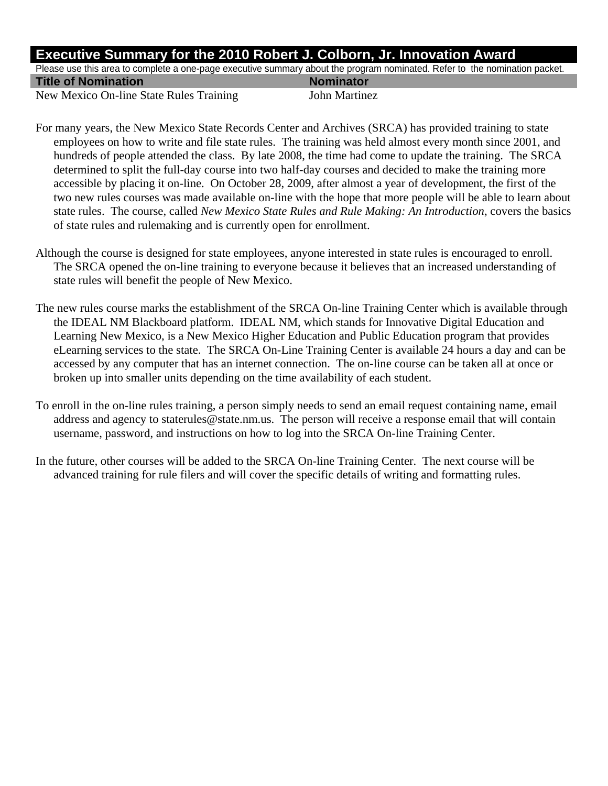### **Executive Summary for the 2010 Robert J. Colborn, Jr. Innovation Award**

Please use this area to complete a one-page executive summary about the program nominated. Refer to the nomination packet.

|  |  |  | <b>Title of Nomination</b> |
|--|--|--|----------------------------|
|--|--|--|----------------------------|

**Nominator** 

New Mexico On-line State Rules Training John Martinez

For many years, the New Mexico State Records Center and Archives (SRCA) has provided training to state employees on how to write and file state rules. The training was held almost every month since 2001, and hundreds of people attended the class. By late 2008, the time had come to update the training. The SRCA determined to split the full-day course into two half-day courses and decided to make the training more accessible by placing it on-line. On October 28, 2009, after almost a year of development, the first of the two new rules courses was made available on-line with the hope that more people will be able to learn about state rules. The course, called *New Mexico State Rules and Rule Making: An Introduction*, covers the basics of state rules and rulemaking and is currently open for enrollment.

- Although the course is designed for state employees, anyone interested in state rules is encouraged to enroll. The SRCA opened the on-line training to everyone because it believes that an increased understanding of state rules will benefit the people of New Mexico.
- The new rules course marks the establishment of the SRCA On-line Training Center which is available through the IDEAL NM Blackboard platform. IDEAL NM, which stands for Innovative Digital Education and Learning New Mexico, is a New Mexico Higher Education and Public Education program that provides eLearning services to the state. The SRCA On-Line Training Center is available 24 hours a day and can be accessed by any computer that has an internet connection. The on-line course can be taken all at once or broken up into smaller units depending on the time availability of each student.
- To enroll in the on-line rules training, a person simply needs to send an email request containing name, email address and agency to staterules@state.nm.us. The person will receive a response email that will contain username, password, and instructions on how to log into the SRCA On-line Training Center.
- In the future, other courses will be added to the SRCA On-line Training Center. The next course will be advanced training for rule filers and will cover the specific details of writing and formatting rules.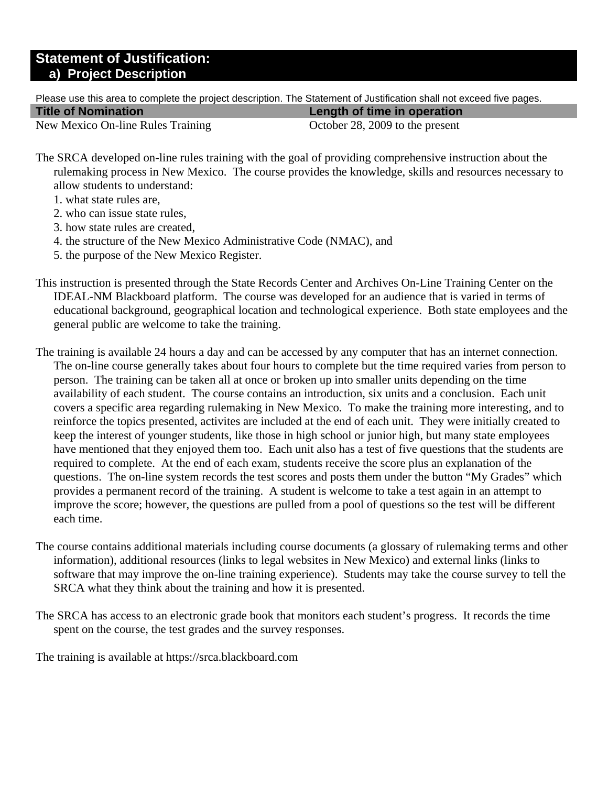Please use this area to complete the project description. The Statement of Justification shall not exceed five pages.

**Title of Nomination** <br> **Length of time in operation** 

New Mexico On-line Rules Training October 28, 2009 to the present

The SRCA developed on-line rules training with the goal of providing comprehensive instruction about the rulemaking process in New Mexico. The course provides the knowledge, skills and resources necessary to allow students to understand:

- 1. what state rules are,
- 2. who can issue state rules,
- 3. how state rules are created,
- 4. the structure of the New Mexico Administrative Code (NMAC), and
- 5. the purpose of the New Mexico Register.

This instruction is presented through the State Records Center and Archives On-Line Training Center on the IDEAL-NM Blackboard platform. The course was developed for an audience that is varied in terms of educational background, geographical location and technological experience. Both state employees and the general public are welcome to take the training.

The training is available 24 hours a day and can be accessed by any computer that has an internet connection. The on-line course generally takes about four hours to complete but the time required varies from person to person. The training can be taken all at once or broken up into smaller units depending on the time availability of each student. The course contains an introduction, six units and a conclusion. Each unit covers a specific area regarding rulemaking in New Mexico. To make the training more interesting, and to reinforce the topics presented, activites are included at the end of each unit. They were initially created to keep the interest of younger students, like those in high school or junior high, but many state employees have mentioned that they enjoyed them too. Each unit also has a test of five questions that the students are required to complete. At the end of each exam, students receive the score plus an explanation of the questions. The on-line system records the test scores and posts them under the button "My Grades" which provides a permanent record of the training. A student is welcome to take a test again in an attempt to improve the score; however, the questions are pulled from a pool of questions so the test will be different each time.

- The course contains additional materials including course documents (a glossary of rulemaking terms and other information), additional resources (links to legal websites in New Mexico) and external links (links to software that may improve the on-line training experience). Students may take the course survey to tell the SRCA what they think about the training and how it is presented.
- The SRCA has access to an electronic grade book that monitors each student's progress. It records the time spent on the course, the test grades and the survey responses.

The training is available at https://srca.blackboard.com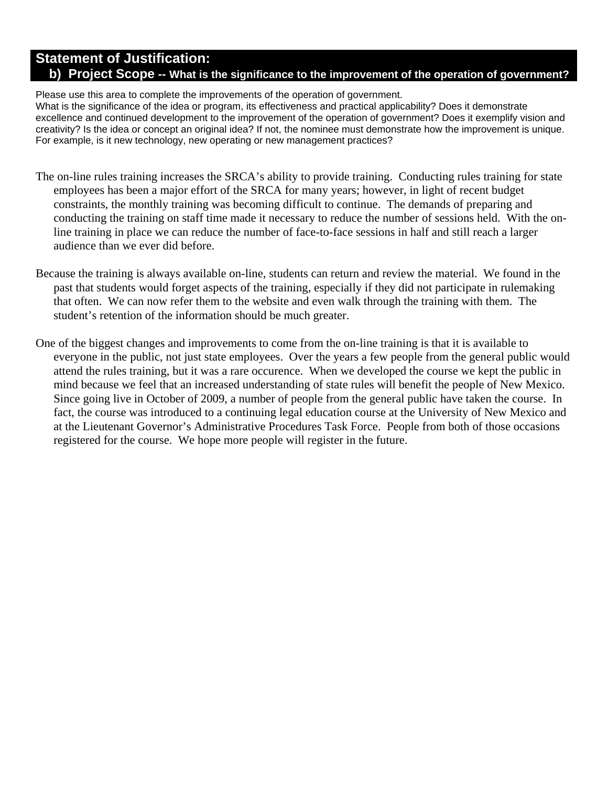# **Statement of Justification:**

### **b) Project Scope -- What is the significance to the improvement of the operation of government?**

Please use this area to complete the improvements of the operation of government.

What is the significance of the idea or program, its effectiveness and practical applicability? Does it demonstrate excellence and continued development to the improvement of the operation of government? Does it exemplify vision and creativity? Is the idea or concept an original idea? If not, the nominee must demonstrate how the improvement is unique. For example, is it new technology, new operating or new management practices?

- The on-line rules training increases the SRCA's ability to provide training. Conducting rules training for state employees has been a major effort of the SRCA for many years; however, in light of recent budget constraints, the monthly training was becoming difficult to continue. The demands of preparing and conducting the training on staff time made it necessary to reduce the number of sessions held. With the online training in place we can reduce the number of face-to-face sessions in half and still reach a larger audience than we ever did before.
- Because the training is always available on-line, students can return and review the material. We found in the past that students would forget aspects of the training, especially if they did not participate in rulemaking that often. We can now refer them to the website and even walk through the training with them. The student's retention of the information should be much greater.
- One of the biggest changes and improvements to come from the on-line training is that it is available to everyone in the public, not just state employees. Over the years a few people from the general public would attend the rules training, but it was a rare occurence. When we developed the course we kept the public in mind because we feel that an increased understanding of state rules will benefit the people of New Mexico. Since going live in October of 2009, a number of people from the general public have taken the course. In fact, the course was introduced to a continuing legal education course at the University of New Mexico and at the Lieutenant Governor's Administrative Procedures Task Force. People from both of those occasions registered for the course. We hope more people will register in the future.